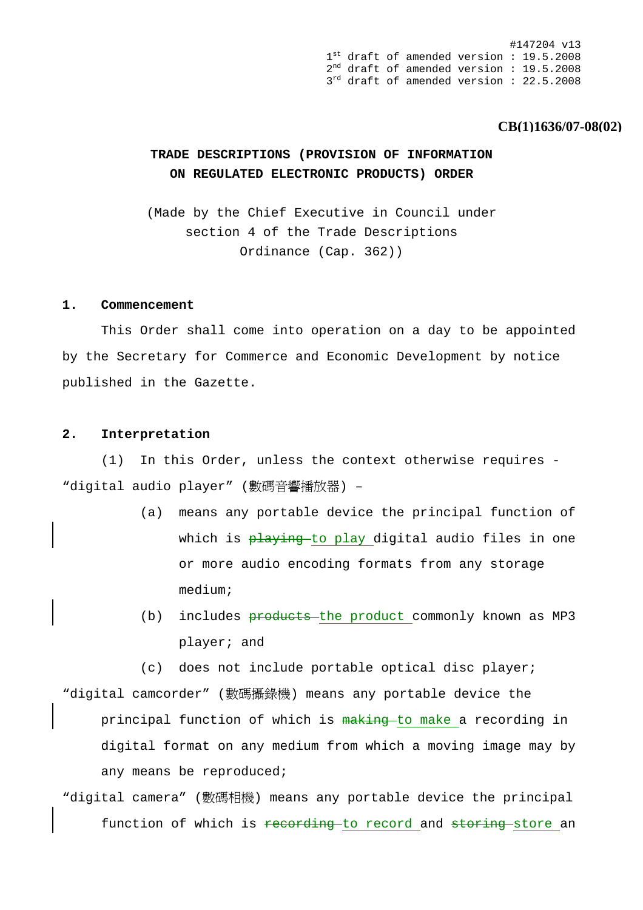#147204 v13 1<sup>st</sup> draft of amended version : 19.5.2008 2nd draft of amended version : 19.5.2008  $3<sup>rd</sup>$  draft of amended version : 22.5.2008

### **CB(1)1636/07-08(02)**

### **TRADE DESCRIPTIONS (PROVISION OF INFORMATION ON REGULATED ELECTRONIC PRODUCTS) ORDER**

(Made by the Chief Executive in Council under section 4 of the Trade Descriptions Ordinance (Cap. 362))

### **1. Commencement**

 This Order shall come into operation on a day to be appointed by the Secretary for Commerce and Economic Development by notice published in the Gazette.

### **2. Interpretation**

 (1) In this Order, unless the context otherwise requires - "digital audio player" (數碼音響播放器) –

- (a) means any portable device the principal function of which is playing to play digital audio files in one or more audio encoding formats from any storage medium;
- (b) includes **products** the product commonly known as MP3 player; and

(c) does not include portable optical disc player; "digital camcorder" (數碼攝錄機) means any portable device the principal function of which is making to make a recording in digital format on any medium from which a moving image may by any means be reproduced;

"digital camera" (數碼相機) means any portable device the principal function of which is recording to record and storing store an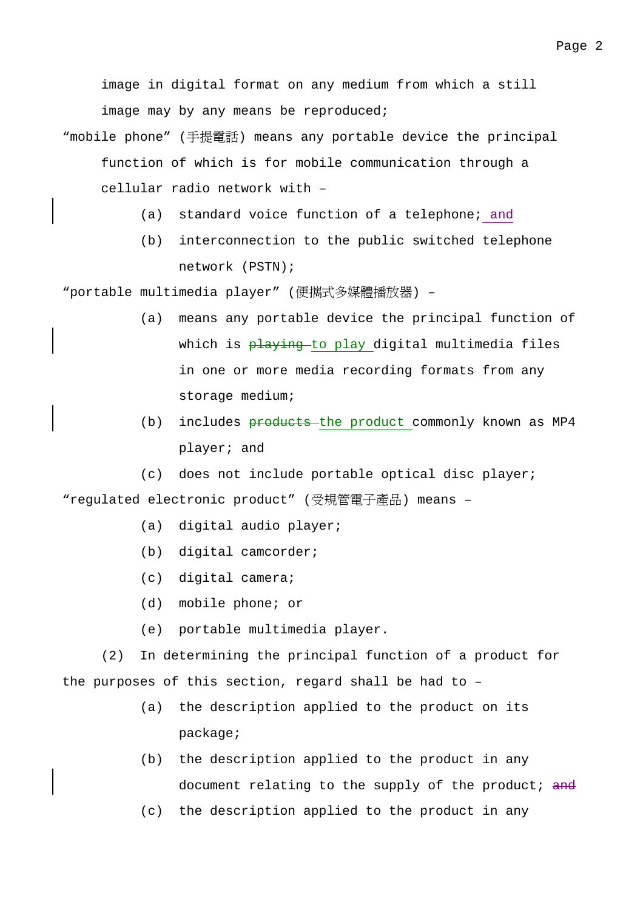image in digital format on any medium from which a still image may by any means be reproduced;

- "mobile phone" (手提電話) means any portable device the principal function of which is for mobile communication through a cellular radio network with –
	- (a) standard voice function of a telephone; and
	- (b) interconnection to the public switched telephone network (PSTN);

"portable multimedia player" (便攜式多媒體播放器) -

- (a) means any portable device the principal function of which is playing to play digital multimedia files in one or more media recording formats from any storage medium;
- (b) includes **products** the product commonly known as MP4 player; and

(c) does not include portable optical disc player; "regulated electronic product" (受規管電子產品) means –

- (a) digital audio player;
- (b) digital camcorder;
- (c) digital camera;
- (d) mobile phone; or
- (e) portable multimedia player.

 (2) In determining the principal function of a product for the purposes of this section, regard shall be had to –

- (a) the description applied to the product on its package;
- (b) the description applied to the product in any document relating to the supply of the product; and
- (c) the description applied to the product in any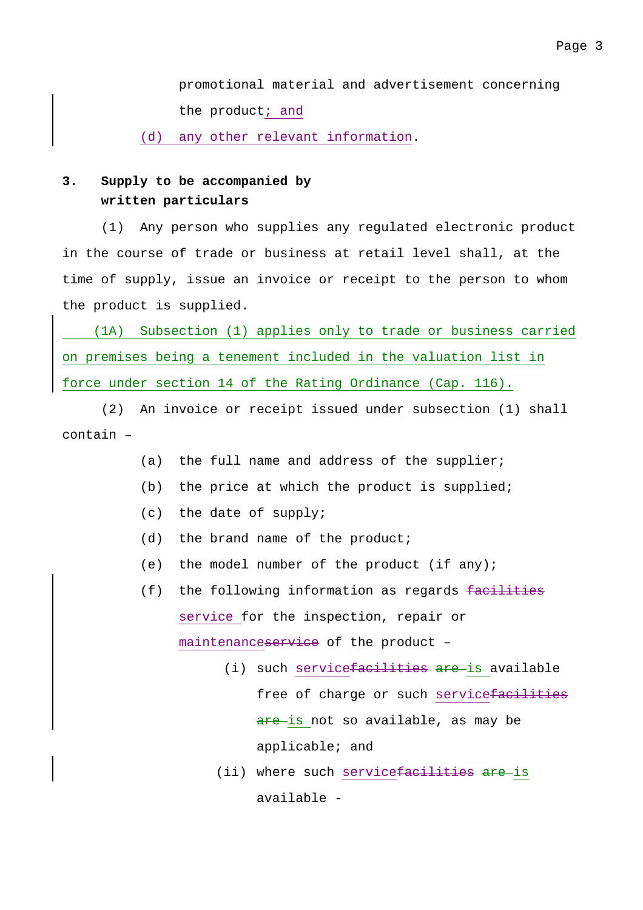promotional material and advertisement concerning the product; and

(d) any other relevant information.

## **3. Supply to be accompanied by written particulars**

 (1) Any person who supplies any regulated electronic product in the course of trade or business at retail level shall, at the time of supply, issue an invoice or receipt to the person to whom the product is supplied.

 (1A) Subsection (1) applies only to trade or business carried on premises being a tenement included in the valuation list in force under section 14 of the Rating Ordinance (Cap. 116).

 (2) An invoice or receipt issued under subsection (1) shall contain –

- (a) the full name and address of the supplier;
- (b) the price at which the product is supplied;
- (c) the date of supply;
- (d) the brand name of the product;
- (e) the model number of the product (if any);
- (f) the following information as regards facilities service for the inspection, repair or maintenanceservice of the product –
	- (i) such service<del>facilities are</del> is available free of charge or such servicefacilities are is not so available, as may be applicable; and
	- (ii) where such servicefacilities are is available -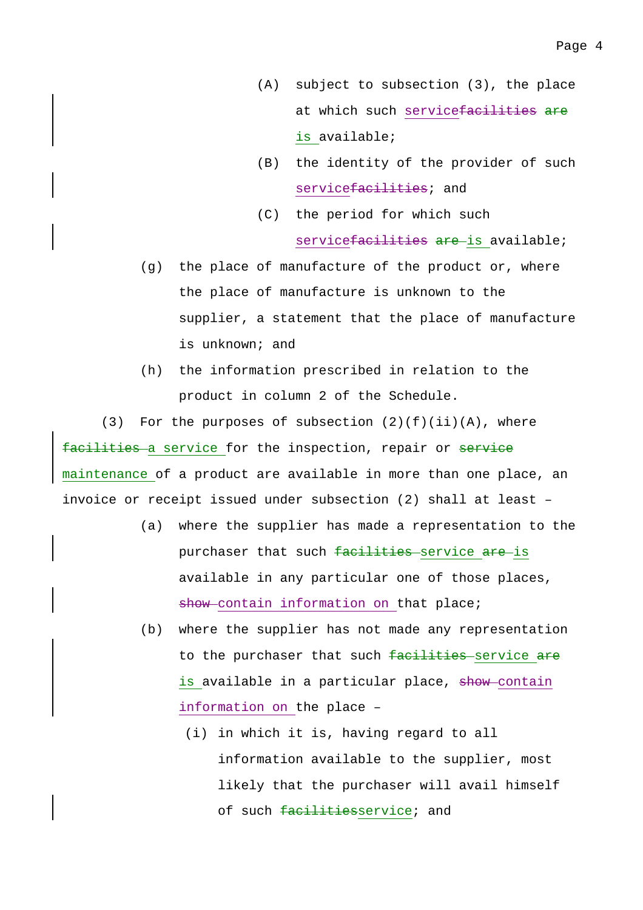- (A) subject to subsection (3), the place at which such servicefacilities are is available;
- (B) the identity of the provider of such service facilities; and
- (C) the period for which such servicefacilities are is available;
- (g) the place of manufacture of the product or, where the place of manufacture is unknown to the supplier, a statement that the place of manufacture is unknown; and
- (h) the information prescribed in relation to the product in column 2 of the Schedule.

(3) For the purposes of subsection  $(2)(f)(ii)(A)$ , where facilities a service for the inspection, repair or service maintenance of a product are available in more than one place, an invoice or receipt issued under subsection (2) shall at least –

- (a) where the supplier has made a representation to the purchaser that such facilities service are is available in any particular one of those places, show-contain information on that place;
- (b) where the supplier has not made any representation to the purchaser that such facilities service are is available in a particular place, show contain information on the place –
	- (i) in which it is, having regard to all information available to the supplier, most likely that the purchaser will avail himself of such facilitiesservice; and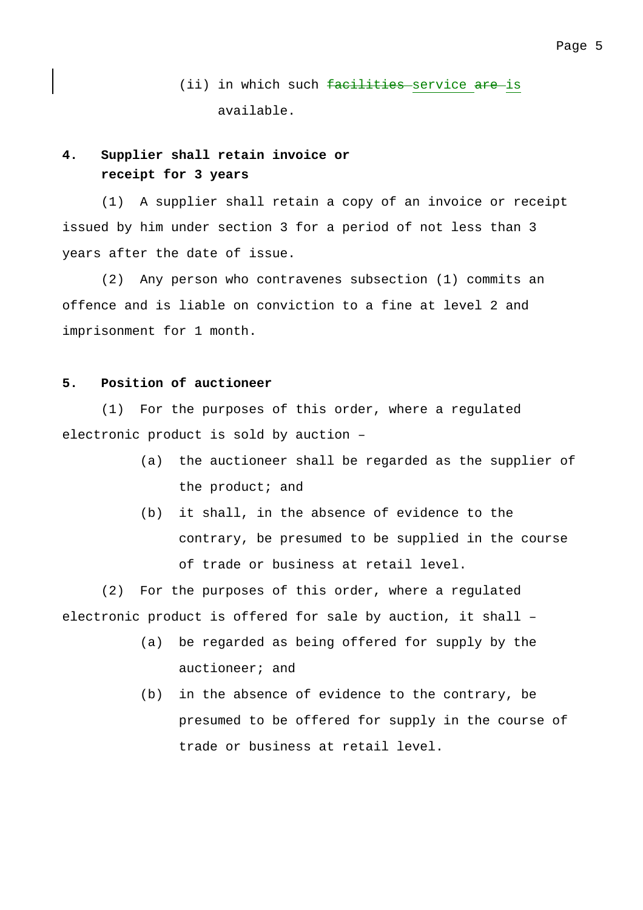(ii) in which such facilities service are is available.

## **4. Supplier shall retain invoice or receipt for 3 years**

 (1) A supplier shall retain a copy of an invoice or receipt issued by him under section 3 for a period of not less than 3 years after the date of issue.

 (2) Any person who contravenes subsection (1) commits an offence and is liable on conviction to a fine at level 2 and imprisonment for 1 month.

### **5. Position of auctioneer**

 (1) For the purposes of this order, where a regulated electronic product is sold by auction –

- (a) the auctioneer shall be regarded as the supplier of the product; and
- (b) it shall, in the absence of evidence to the contrary, be presumed to be supplied in the course of trade or business at retail level.

 (2) For the purposes of this order, where a regulated electronic product is offered for sale by auction, it shall –

- (a) be regarded as being offered for supply by the auctioneer; and
- (b) in the absence of evidence to the contrary, be presumed to be offered for supply in the course of trade or business at retail level.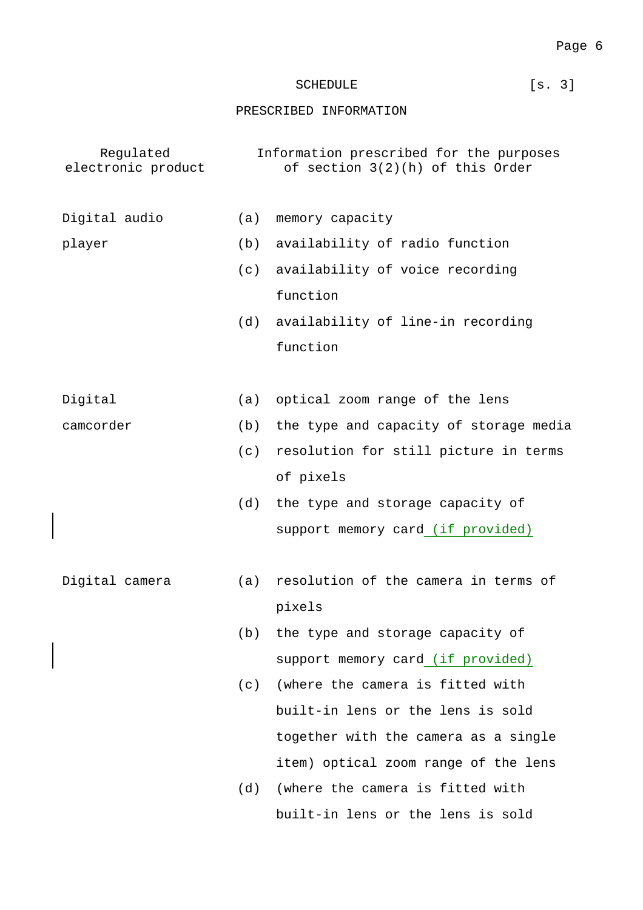# SCHEDULE [s. 3]

### PRESCRIBED INFORMATION

| Regulated<br>electronic product |     | Information prescribed for the purposes<br>of section 3(2)(h) of this Order |
|---------------------------------|-----|-----------------------------------------------------------------------------|
| Digital audio                   | (a) | memory capacity                                                             |
| player                          | (b) | availability of radio function                                              |
|                                 | (c) | availability of voice recording                                             |
|                                 |     | function                                                                    |
|                                 | (d) | availability of line-in recording                                           |
|                                 |     | function                                                                    |
|                                 |     |                                                                             |
| Digital                         | (a) | optical zoom range of the lens                                              |
| camcorder                       | (b) | the type and capacity of storage media                                      |
|                                 | (c) | resolution for still picture in terms                                       |
|                                 |     | of pixels                                                                   |
|                                 | (d) | the type and storage capacity of                                            |
|                                 |     | support memory card (if provided)                                           |
|                                 |     |                                                                             |
| Digital camera                  | (a) | resolution of the camera in terms of                                        |
|                                 |     | pixels                                                                      |
|                                 | (b) | the type and storage capacity of                                            |
|                                 |     | support memory card (if provided)                                           |
|                                 | (c) | (where the camera is fitted with                                            |
|                                 |     | built-in lens or the lens is sold                                           |
|                                 |     | together with the camera as a single                                        |
|                                 |     | item) optical zoom range of the lens                                        |
|                                 | (d) | (where the camera is fitted with                                            |
|                                 |     | built-in lens or the lens is sold                                           |